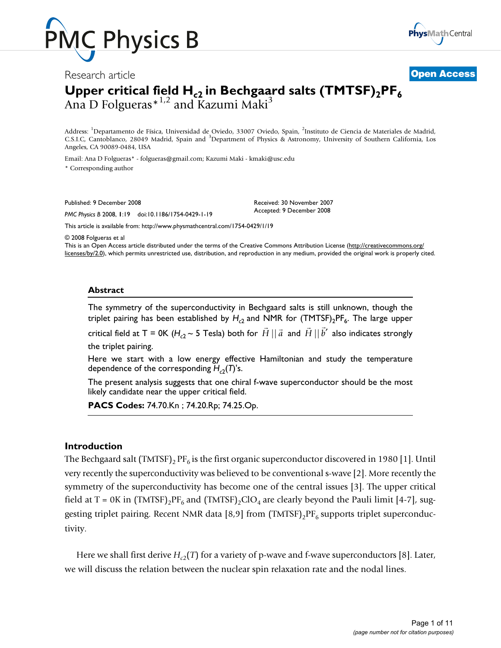

Research article **[Open Access](http://www.biomedcentral.com/info/about/charter/)**



## Upper critical field  $H_{c2}$  in Bechgaard salts (TMTSF) $_2$ PF $_6$ Ana D Folgueras  $*^{1,2}$  and Kazumi Maki<sup>3</sup>

Address: <sup>1</sup>Departamento de Física, Universidad de Oviedo, 33007 Oviedo, Spain, <sup>2</sup>Instituto de Ciencia de Materiales de Madrid, C.S.I.C, Cantoblanco, 28049 Madrid, Spain and <sup>3</sup>Department of Physics & Astronomy, University of Southern California, Los Angeles, CA 90089-0484, USA

Email: Ana D Folgueras\* - folgueras@gmail.com; Kazumi Maki - kmaki@usc.edu \* Corresponding author

Published: 9 December 2008

*PMC Physics B* 2008, **1**:19 doi:10.1186/1754-0429-1-19

[This article is available from: http://www.physmathcentral.com/1754-0429/1/19](http://www.physmathcentral.com/1754-0429/1/19)

© 2008 Folgueras et al

This is an Open Access article distributed under the terms of the Creative Commons Attribution License ([http://creativecommons.org/](http://creativecommons.org/licenses/by/2.0) [licenses/by/2.0\)](http://creativecommons.org/licenses/by/2.0), which permits unrestricted use, distribution, and reproduction in any medium, provided the original work is properly cited.

Received: 30 November 2007 Accepted: 9 December 2008

### **Abstract**

The symmetry of the superconductivity in Bechgaard salts is still unknown, though the triplet pairing has been established by  $H_{c2}$  and NMR for  $(TMTSF)_{2}PF_{6}$ . The large upper critical field at T = 0K ( $H_{c2}$  ~ 5 Tesla) both for  $\vec{H} || \vec{a}$  and  $\vec{H} || \vec{b}'$  also indicates strongly the triplet pairing.

Here we start with a low energy effective Hamiltonian and study the temperature dependence of the corresponding  $H_{c2}(T)$ 's.

The present analysis suggests that one chiral f-wave superconductor should be the most likely candidate near the upper critical field.

**PACS Codes:** 74.70.Kn ; 74.20.Rp; 74.25.Op.

### **Introduction**

The Bechgaard salt (TMTSF)<sub>2</sub> PF<sub>6</sub> is the first organic superconductor discovered in 1980 [1]. Until very recently the superconductivity was believed to be conventional s-wave [2]. More recently the symmetry of the superconductivity has become one of the central issues [3]. The upper critical field at T = 0K in (TMTSF)<sub>2</sub>PF<sub>6</sub> and (TMTSF)<sub>2</sub>ClO<sub>4</sub> are clearly beyond the Pauli limit [4-7], suggesting triplet pairing. Recent NMR data [8,9] from  $(TMTSF)_{2}PF_{6}$  supports triplet superconductivity.

Here we shall first derive  $H_{c2}(T)$  for a variety of p-wave and f-wave superconductors [8]. Later, we will discuss the relation between the nuclear spin relaxation rate and the nodal lines.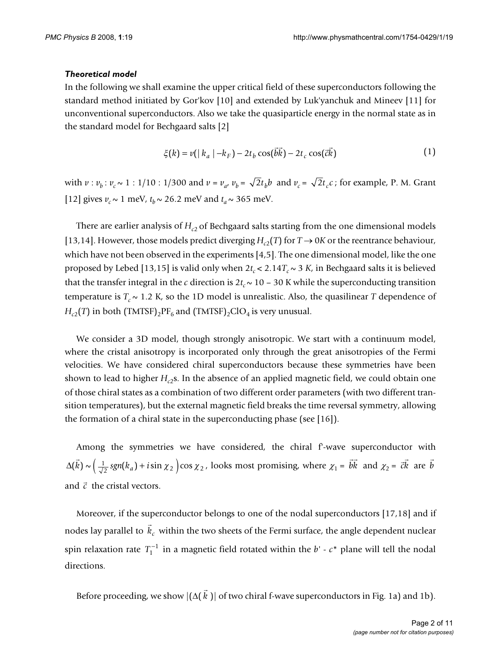### *Theoretical model*

In the following we shall examine the upper critical field of these superconductors following the standard method initiated by Gor'kov [10] and extended by Luk'yanchuk and Mineev [11] for unconventional superconductors. Also we take the quasiparticle energy in the normal state as in the standard model for Bechgaard salts [2]

$$
\xi(k) = v(|k_a| - k_F) - 2t_b \cos(\vec{bk}) - 2t_c \cos(\vec{ck})
$$
 (1)

with  $v : v_b : v_c \sim 1 : 1/10 : 1/300$  and  $v = v_a$ ,  $v_b = \sqrt{2t_b}b$  and  $v_c = \sqrt{2t_c}c$ ; for example, P. M. Grant [12] gives  $v_c \sim 1$  meV,  $t_b \sim 26.2$  meV and  $t_a \sim 365$  meV.

There are earlier analysis of  $H<sub>c2</sub>$  of Bechgaard salts starting from the one dimensional models [13,14]. However, those models predict diverging  $H_{c2}(T)$  for  $T \rightarrow 0K$  or the reentrance behaviour, which have not been observed in the experiments [4,5]. The one dimensional model, like the one proposed by Lebed [13,15] is valid only when  $2t_c < 2.14T_c \sim 3 K$ , in Bechgaard salts it is believed that the transfer integral in the *c* direction is  $2t_c \sim 10 - 30$  K while the superconducting transition temperature is  $T_c \sim 1.2$  K, so the 1D model is unrealistic. Also, the quasilinear *T* dependence of  $H_{c2}(T)$  in both (TMTSF)<sub>2</sub>PF<sub>6</sub> and (TMTSF)<sub>2</sub>ClO<sub>4</sub> is very unusual.

We consider a 3D model, though strongly anisotropic. We start with a continuum model, where the cristal anisotropy is incorporated only through the great anisotropies of the Fermi velocities. We have considered chiral superconductors because these symmetries have been shown to lead to higher  $H_{c2}$ s. In the absence of an applied magnetic field, we could obtain one of those chiral states as a combination of two different order parameters (with two different transition temperatures), but the external magnetic field breaks the time reversal symmetry, allowing the formation of a chiral state in the superconducting phase (see [16]).

Among the symmetries we have considered, the chiral f-wave superconductor with  $\Delta(k) \sim \left(\frac{1}{\sqrt{2}} \text{sgn}(k_a) + i \sin \chi_2\right)$  cos  $\chi_2$ , looks most promising, where  $\chi_1 = bk$  and  $\chi_2 = ck$  are and  $\vec{c}$  the cristal vectors.  $\rightarrow$  $\overline{k}$ ) ~  $\left(\frac{1}{\sqrt{2}}$  sgn(k<sub>a</sub>) + *i* sin  $\chi_2$ ) cos  $\chi_2$  $\vec{bk}$  and  $\chi_2 = \vec{ck}$  are  $\vec{b}$ 

Moreover, if the superconductor belongs to one of the nodal superconductors [17,18] and if nodes lay parallel to  $k_c$  within the two sheets of the Fermi surface, the angle dependent nuclear spin relaxation rate  $T_1^{-1}$  in a magnetic field rotated within the *b' - c*\* plane will tell the nodal directions.  $\frac{1}{2}$ *kc*

Before proceeding, we show  $|(\Delta(k))|$  of two chiral f-wave superconductors in Fig. 1a) and 1b).  $\rightarrow$ *k*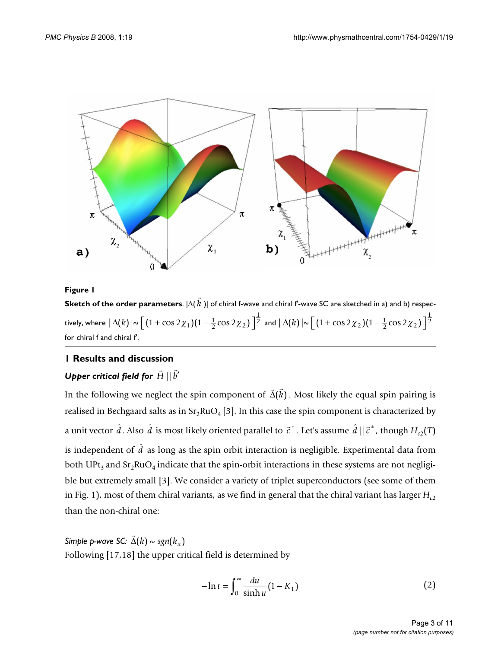

**Sketch of the order parameters**.  $|\Delta(k)|$  of chiral f-wave and chiral f-wave SC are sketched in a) and b) respectively, where  $|\Delta(k)| \sim \left[ (1 + \cos 2\chi_1)(1 - \frac{1}{2}\cos 2\chi_2) \right]^{\frac{1}{2}}$  and for chiral f and chiral f'.  $\overline{a}$ *k*  $\left[\left(1+\cos 2\chi_1\right)\left(1-\frac{1}{2}\cos 2\chi_2\right)\right]^{\frac{1}{2}}$  and  $|\Delta(k)| \sim \left[\left(1+\cos 2\chi_2\right)\left(1-\frac{1}{2}\cos 2\chi_2\right)\right]$  $[(1 + \cos 2\chi_2)(1 - \frac{1}{2}\cos 2\chi_2)]^{\frac{1}{2}}$ 

### **1 Results and discussion**

## $\bm{\mathsf{U}}$ pper critical field for  $\vec{H}\,||\,\vec{b}'$

In the following we neglect the spin component of  $\vec{\Delta}(\vec{k})$  . Most likely the equal spin pairing is realised in Bechgaard salts as in  $Sr_2RuO_4[3]$ . In this case the spin component is characterized by a unit vector  $\hat{d}$  . Also  $\hat{d}$  is most likely oriented parallel to  $\vec{c}^*$  . Let's assume  $\hat{d}$  ||  $\vec{c}^*$  , though  $H_{c2}(T)$ is independent of  $\hat{d}$  as long as the spin orbit interaction is negligible. Experimental data from both UPt<sub>3</sub> and Sr<sub>2</sub>RuO<sub>4</sub> indicate that the spin-orbit interactions in these systems are not negligible but extremely small [3]. We consider a variety of triplet superconductors (see some of them in Fig. 1), most of them chiral variants, as we find in general that the chiral variant has larger  $H_{c2}$ than the non-chiral one:

*Simple p-wave SC:*  Following [17,18] the upper critical field is determined by  $\rightarrow$  $\Delta(k) \sim sgn(k_a)$ 

$$
-\ln t = \int_0^\infty \frac{du}{\sinh u} (1 - K_1)
$$
 (2)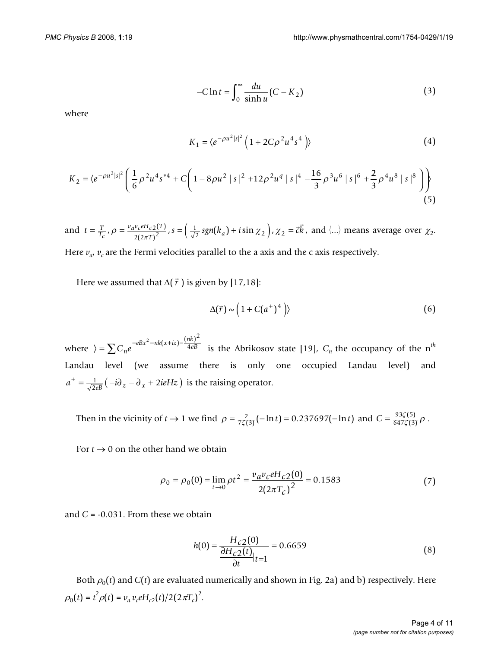$$
-C\ln t = \int_0^\infty \frac{du}{\sinh u} (C - K_2)
$$
 (3)

where

$$
K_1 = \langle e^{-\rho u^2 |s|^2} \left( 1 + 2C\rho^2 u^4 s^4 \right) \rangle
$$
 (4)

$$
K_2 = \langle e^{-\rho u^2 |s|^2} \left( \frac{1}{6} \rho^2 u^4 s^{*4} + C \left( 1 - 8 \rho u^2 |s|^2 + 12 \rho^2 u^4 |s|^4 - \frac{16}{3} \rho^3 u^6 |s|^6 + \frac{2}{3} \rho^4 u^8 |s|^8 \right) \right) \tag{5}
$$

and  $t = \frac{T}{T_c}$ ,  $\rho = \frac{v_a v_c e H_c 2(r)}{2(2\pi T)^2}$ ,  $s = (\frac{1}{\sqrt{2}} sgn(k_a) + i \sin \chi_2)$ ,  $\chi_2 = \vec{c}k$ , and  $\langle ... \rangle$  means average over  $\chi_2$ . Here  $v_{a}$ ,  $v_{c}$  are the Fermi velocities parallel to the a axis and the c axis respectively.  $v_a v_c e H_c$ <sub>2</sub>(T  $=\frac{T}{T_c}$ ,  $\rho = \frac{v_a v_c e H_{c2}(T)}{2(2\pi T)^2}$ ,  $s = (\frac{1}{\sqrt{2}} sgn(k_a) + i \sin \chi_2)$ ,  $\chi_2 =$  $\frac{v_c e H_{c2}(1)}{2(2\pi T)^2}$ ,  $s = (\frac{1}{\sqrt{2}} sgn(k_a) + i \sin \chi_2)$ ,  $\chi_2$  $\vec{r}$ 

Here we assumed that  $\Delta(\vec{r})$  is given by [17,18]:

$$
\Delta(\vec{r}) \sim \left(1 + C(a^+)^4\right) \tag{6}
$$

where  $\rangle = \sum C_n e^{-eBx^2 - nk(x+iz) - \frac{(nk)^2}{4eB}}$  is the Abrikosov state [19],  $C_n$  the occupancy of the n<sup>th</sup> Landau level (we assume there is only one occupied Landau level) and  $a^+ = \frac{1}{\sqrt{2eB}} \left( -i\partial_z - \partial_x + 2ieHz \right)$  is the raising operator.  $2 - nk(x+iz) - \frac{(nk)^2}{4eB}$ 

Then in the vicinity of  $t \to 1$  we find  $\rho = \frac{2}{7\zeta(3)}(-\ln t) = 0.237697(-\ln t)$  and  $C = \frac{93\zeta(5)}{647\zeta(3)}\rho$ .  $\frac{\zeta(5)}{\zeta(3)} \rho$ 

For  $t \to 0$  on the other hand we obtain

$$
\rho_0 = \rho_0(0) = \lim_{t \to 0} \rho t^2 = \frac{v_d v_c e H_{c2}(0)}{2(2\pi T_c)^2} = 0.1583
$$
\n(7)

and  $C = -0.031$ . From these we obtain

$$
h(0) = \frac{H_{c2}(0)}{\frac{\partial H_{c2}(t)}{\partial t}|_{t=1}} = 0.6659
$$
\n(8)

Both  $\rho_0(t)$  and  $C(t)$  are evaluated numerically and shown in Fig. 2a) and b) respectively. Here  $\rho_0(t) = t^2 \rho(t) = v_a v_c e H_{c2}(t) / 2(2\pi T_c)^2$ .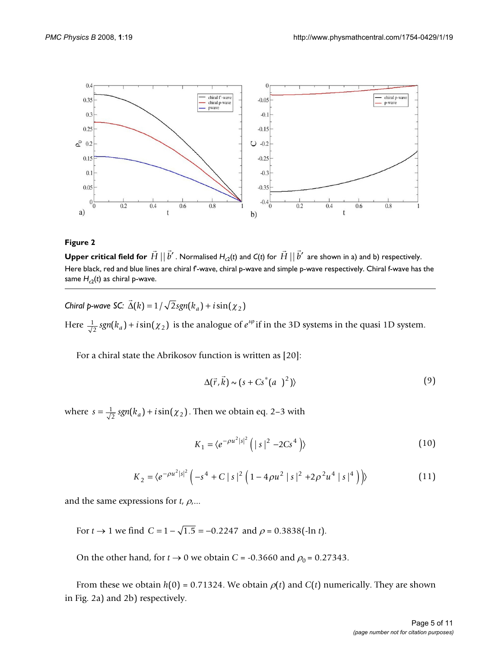

 $\bf{Upper \ critical \ field \ for \ } \vec{H} \ || \vec{b}'$  . Normalised  $H_{c2}(t)$  and  $C(t)$  for  $\vec{H} \ || \vec{b}'$  are shown in a) and b) respectively. Here black, red and blue lines are chiral f'-wave, chiral p-wave and simple p-wave respectively. Chiral f-wave has the same  $H_{c2}(t)$  as chiral p-wave.

*Chiral p-wave SC:*  Here  $\frac{1}{\sqrt{2}}$  *sgn*( $k_a$ ) + *i* sin( $\chi_2$ ) is the analogue of  $e^{i\varphi}$  if in the 3D systems in the quasi 1D system.  $\rightarrow$  $\Delta(k) = 1 / \sqrt{2 sgn(k_a) + i \sin(\chi_2)}$ 

For a chiral state the Abrikosov function is written as [20]:

$$
\Delta(\vec{r}, \vec{k}) \sim (s + Cs^*(a))^2)
$$
 (9)

where  $s = \frac{1}{\sqrt{2}} sgn(k_a) + i \sin(\chi_2)$ . Then we obtain eq. 2–3 with

$$
K_1 = \langle e^{-\rho u^2 |s|^2} \left( |s|^2 - 2Cs^4 \right) \rangle
$$
 (10)

$$
K_2 = \langle e^{-\rho u^2 |s|^2} \left( -s^4 + C |s|^2 \left( 1 - 4\rho u^2 |s|^2 + 2\rho^2 u^4 |s|^4 \right) \right) \rangle \tag{11}
$$

and the same expressions for  $t$ ,  $\rho$ ....

For  $t \to 1$  we find  $C = 1 - \sqrt{1.5} = -0.2247$  and  $\rho = 0.3838(-\ln t)$ .

On the other hand, for  $t \to 0$  we obtain  $C = -0.3660$  and  $\rho_0 = 0.27343$ .

From these we obtain  $h(0) = 0.71324$ . We obtain  $\rho(t)$  and  $C(t)$  numerically. They are shown in Fig. 2a) and 2b) respectively.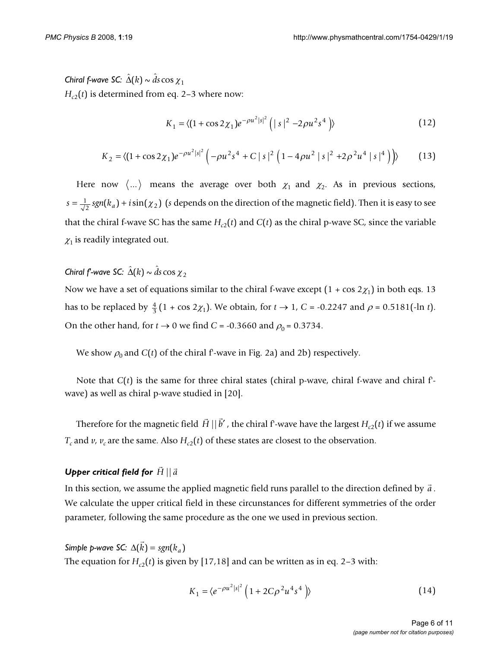*Chiral f-wave SC:*  $\hat{\Delta}(k) \sim \hat{d}s \cos \chi_1$  $H_{c2}(t)$  is determined from eq. 2–3 where now:

$$
K_1 = \langle (1 + \cos 2\chi_1) e^{-\rho u^2 |s|^2} \left( |s|^2 - 2\rho u^2 s^4 \right) \rangle
$$
 (12)

$$
K_2 = \langle (1 + \cos 2\chi_1)e^{-\rho u^2 |s|^2} \left( -\rho u^2 s^4 + C |s|^2 (1 - 4\rho u^2 |s|^2 + 2\rho^2 u^4 |s|^4) \right) \rangle \tag{13}
$$

Here now  $\langle ... \rangle$  means the average over both  $\chi_1$  and  $\chi_2$ . As in previous sections,  $s = \frac{1}{\sqrt{2}} sgn(k_a) + i\sin(\chi_2)$  (s depends on the direction of the magnetic field). Then it is easy to see that the chiral f-wave SC has the same  $H_c(t)$  and  $C(t)$  as the chiral p-wave SC, since the variable  $\chi_1$  is readily integrated out.

*Chiral f-wave SC:*  $\hat{\Delta}(k) \sim \hat{d}s \cos \chi_2$ 

Now we have a set of equations similar to the chiral f-wave except  $(1 + \cos 2\chi_1)$  in both eqs. 13 has to be replaced by  $\frac{4}{3}(1 + \cos 2\chi_1)$ . We obtain, for  $t \to 1$ ,  $C = -0.2247$  and  $\rho = 0.5181(-\ln t)$ . On the other hand, for  $t \to 0$  we find  $C = -0.3660$  and  $\rho_0 = 0.3734$ .

We show  $\rho_0$  and *C*(*t*) of the chiral f-wave in Fig. 2a) and 2b) respectively.

Note that  $C(t)$  is the same for three chiral states (chiral p-wave, chiral f-wave and chiral fwave) as well as chiral p-wave studied in [20].

Therefore for the magnetic field  $\vec{H} \, || \, \vec{b}'$  , the chiral f<sup>-</sup>-wave have the largest  $H_{c2}(t)$  if we assume  $T_c$  and *v*,  $v_c$  are the same. Also  $H_{c2}(t)$  of these states are closest to the observation.

## $\bm{\mathsf{U}}$ pper critical field for  $\vec{H}\,||\,\vec{a}$

In this section, we assume the applied magnetic field runs parallel to the direction defined by  $\vec{a}$  . We calculate the upper critical field in these circunstances for different symmetries of the order parameter, following the same procedure as the one we used in previous section.

*Simple p-wave SC:*  $\Delta(k) = sgn(k_a)$ The equation for  $H_{c2}(t)$  is given by [17,18] and can be written as in eq. 2–3 with:  $\rightarrow$  $k$ ) =  $sgn(k_a)$ 

$$
K_1 = \langle e^{-\rho u^2 |s|^2} \left( 1 + 2C\rho^2 u^4 s^4 \right) \rangle
$$
 (14)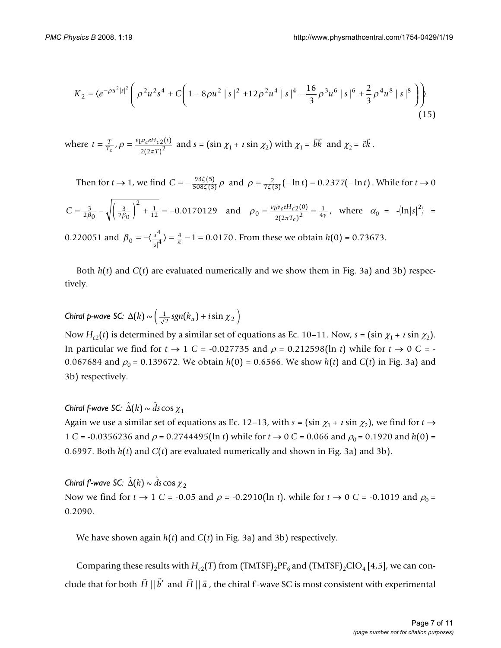$$
K_2 = \langle e^{-\rho u^2 |s|^2} \left( \rho^2 u^2 s^4 + C \left( 1 - 8\rho u^2 |s|^2 + 12\rho^2 u^4 |s|^4 - \frac{16}{3} \rho^3 u^6 |s|^6 + \frac{2}{3} \rho^4 u^8 |s|^8 \right) \right) \tag{15}
$$

where 
$$
t = \frac{T}{T_c}
$$
,  $\rho = \frac{v_b v_c e H_c 2(t)}{2(2\pi T)^2}$  and  $s = (\sin \chi_1 + i \sin \chi_2)$  with  $\chi_1 = \vec{bk}$  and  $\chi_2 = \vec{ck}$ .

Then for *t* → 1, we find  $C = -\frac{93\zeta(5)}{508\zeta(3)} \rho$  and  $\rho = \frac{2}{7\zeta(3)}(-\ln t) = 0.2377(-\ln t)$ . While for *t* → 0  $C = \frac{3}{2\beta_0} - \sqrt{\left(\frac{3}{2\beta_0}\right)^2 + \frac{1}{12}} = -0.0170129$  and  $\rho_0 = \frac{v_b v_c e H_{c2}(0)}{2(2\pi T_c)^2} = \frac{1}{4\gamma}$ , where  $\alpha_0 = -\langle \ln |s|^2 \rangle =$  $\frac{\zeta(5)}{\zeta(3)}$   $\rho$  and  $\rho = \frac{2}{7\zeta(3)}(-\ln t) = 0.2377(-\ln t)$  $2\beta_0$  $\frac{3}{\beta_0} - \sqrt{\left(\frac{3}{2\beta_0}\right)^2 + \frac{1}{12}} = -0.0170129$  and  $\rho_0 = \frac{v_b v_c e H_{c2}(0)}{2(2\pi T_c)^2} = \frac{1}{4\gamma}$  $=\frac{v_b v_c e H_{c2}(0)}{2(2\pi T_c)^2} = \frac{1}{4\pi}$  $\left( 0\right)$  $(2\pi T_c)$ 

0.220051 and  $\beta_0 = -\langle \frac{s^4}{\mu^4} \rangle = \frac{4}{\pi} - 1 = 0.0170$ . From these we obtain  $h(0) = 0.73673$ .  $= -\langle \frac{s^4}{|s|^4} \rangle = \frac{4}{\pi} - 1 = 0.0170$ 

Both *h*(*t*) and *C*(*t*) are evaluated numerically and we show them in Fig. 3a) and 3b) respectively.

# *Chiral p-wave SC:*  $\Delta(k) \sim \left( \frac{1}{\sqrt{2}} sgn(k_a) + i \sin \chi_2 \right)$

Now  $H_{c2}(t)$  is determined by a similar set of equations as Ec. 10–11. Now,  $s = (\sin \chi_1 + i \sin \chi_2)$ . In particular we find for  $t \to 1$  *C* = -0.027735 and  $\rho = 0.212598(\ln t)$  while for  $t \to 0$  *C* = -0.067684 and  $\rho_0 = 0.139672$ . We obtain  $h(0) = 0.6566$ . We show  $h(t)$  and  $C(t)$  in Fig. 3a) and 3b) respectively.

## *Chiral f-wave SC:*  $\hat{\Delta}(k) \sim \hat{d}s \cos \chi_1$

Again we use a similar set of equations as Ec. 12–13, with  $s = (\sin \chi_1 + i \sin \chi_2)$ , we find for  $t \rightarrow$ 1 *C* = -0.0356236 and  $\rho$  = 0.2744495(ln *t*) while for *t*  $\rightarrow$  0 *C* = 0.066 and  $\rho_0$  = 0.1920 and *h*(0) = 0.6997. Both *h*(*t*) and *C*(*t*) are evaluated numerically and shown in Fig. 3a) and 3b).

*Chiral f'-wave SC:*  $\hat{\Delta}(k) \sim \hat{d} s \cos \chi_2$ Now we find for  $t \to 1$  *C* = -0.05 and  $\rho$  = -0.2910(ln *t*), while for  $t \to 0$  *C* = -0.1019 and  $\rho_0$  = 0.2090.

We have shown again *h*(*t*) and *C*(*t*) in Fig. 3a) and 3b) respectively.

Comparing these results with  $H_{c2}(T)$  from (TMTSF)<sub>2</sub>PF<sub>6</sub> and (TMTSF)<sub>2</sub>ClO<sub>4</sub> [4,5], we can conclude that for both  $\vec{H} \parallel \vec{b}'$  and  $\vec{H} \parallel \vec{a}$  , the chiral f'-wave SC is most consistent with experimental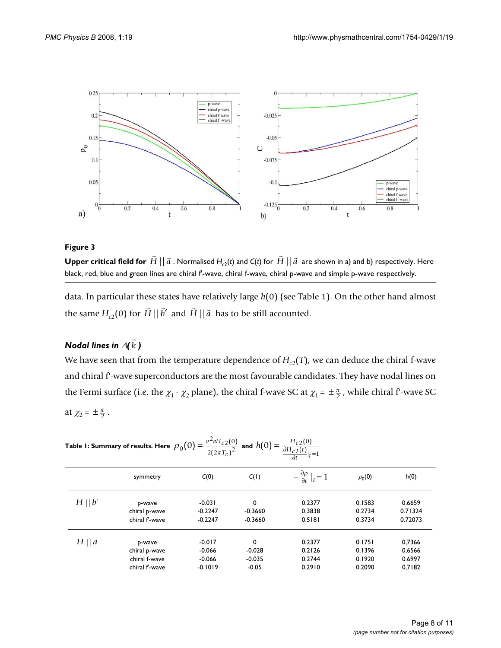

 $\blacksquare$  .<br>Upper critical field for  $\vec{H}\,||\,\vec{a}$  . Normalised  $H_{c2}$ (t) and C(t) for  $\vec{H}\,||\,\vec{a}\,$  are shown in a) and b) respectively. Here black, red, blue and green lines are chiral f'-wave, chiral f-wave, chiral p-wave and simple p-wave respectively.

data. In particular these states have relatively large *h*(0) (see Table 1). On the other hand almost the same  $H_{c2}(0)$  for  $\vec{H} \mid |\vec{b}'|$  and  $\vec{H} \mid |\vec{a}|$  has to be still accounted.

#### *Nodal lines in*  $\varDelta(k$  *)*  $\rightarrow$ *k*

We have seen that from the temperature dependence of  $H_{c2}(T)$ , we can deduce the chiral f-wave and chiral f'-wave superconductors are the most favourable candidates. They have nodal lines on the Fermi surface (i.e. the  $\chi_1$  -  $\chi_2$  plane), the chiral f-wave SC at  $\chi_1 = \pm \frac{\pi}{2}$ , while chiral f-wave SC at  $\chi_2 = \pm \frac{\pi}{2}$ .

| Table I: Summary of results. Here $\rho_0(0) = \frac{1}{2(2\pi T_c)^2}$<br>and $h(0) = \frac{\partial H_{c2}(t)}{\partial H_{c2}(t)} _{t=1}$ |                                 |                        |                        |                                                |                  |                    |  |  |  |
|----------------------------------------------------------------------------------------------------------------------------------------------|---------------------------------|------------------------|------------------------|------------------------------------------------|------------------|--------------------|--|--|--|
|                                                                                                                                              | symmetry                        | C(0)                   | C(1)                   | $-\frac{\partial \rho}{\partial t}\big _t = 1$ | $\rho_0(0)$      | h(0)               |  |  |  |
| $H \mid  b $                                                                                                                                 | p-wave                          | $-0.031$               | 0                      | 0.2377                                         | 0.1583           | 0.6659             |  |  |  |
|                                                                                                                                              | chiral p-wave<br>chiral f'-wave | $-0.2247$<br>$-0.2247$ | $-0.3660$<br>$-0.3660$ | 0.3838<br>0.5181                               | 0.2734<br>0.3734 | 0.71324<br>0.72073 |  |  |  |
| $H \mid a$                                                                                                                                   | p-wave                          | $-0.017$               | 0                      | 0.2377                                         | 0.1751           | 0,7366             |  |  |  |
|                                                                                                                                              | chiral p-wave                   | $-0.066$               | $-0.028$               | 0.2126                                         | 0.1396           | 0,6566             |  |  |  |
|                                                                                                                                              | chiral f-wave                   | $-0.066$               | $-0.035$               | 0.2744                                         | 0.1920           | 0.6997             |  |  |  |
|                                                                                                                                              | chiral f'-wave                  | $-0.1019$              | $-0.05$                | 0.2910                                         | 0.2090           | 0,7182             |  |  |  |

| Table 1: Summary of results. Here $\rho_0(0) = \frac{v^2 e H_{c2}(0)}{2(2\pi T_c)^2}$ and $h(0) = \frac{H_{c2}(0)}{\frac{\partial H_{c2}(t)}{\partial t} _t}$ |  |  |  |
|---------------------------------------------------------------------------------------------------------------------------------------------------------------|--|--|--|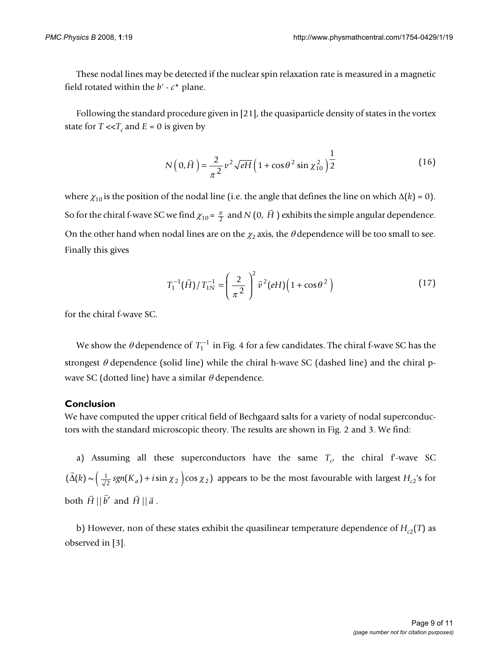These nodal lines may be detected if the nuclear spin relaxation rate is measured in a magnetic field rotated within the *b'* - *c*\* plane.

Following the standard procedure given in [21], the quasiparticle density of states in the vortex state for  $T \ll T_c$  and  $E = 0$  is given by

$$
N(0,\vec{H}) = \frac{2}{\pi^2} v^2 \sqrt{eH} \left( 1 + \cos \theta^2 \sin \chi_{10}^2 \right) \frac{1}{2}
$$
 (16)

where  $\chi_{10}$  is the position of the nodal line (i.e. the angle that defines the line on which  $\Delta(k) = 0$ ). So for the chiral f-wave SC we find  $\chi_{10}$  =  $\frac{\pi}{2}$  and *N* (0, *H* ) exhibits the simple angular dependence. On the other hand when nodal lines are on the  $\chi_2$  axis, the  $\theta$  dependence will be too small to see. Finally this gives Ļ *H*

$$
T_1^{-1}(\vec{H})/T_{1N}^{-1} = \left(\frac{2}{\pi^2}\right)^2 \vec{v}^2(eH)\left(1 + \cos\theta^2\right)
$$
 (17)

for the chiral f-wave SC.

We show the  $\theta$  dependence of  $T_1^{-1}$  in Fig. 4 for a few candidates. The chiral f-wave SC has the strongest  $\theta$  dependence (solid line) while the chiral h-wave SC (dashed line) and the chiral pwave SC (dotted line) have a similar  $\theta$  dependence.

### **Conclusion**

We have computed the upper critical field of Bechgaard salts for a variety of nodal superconductors with the standard microscopic theory. The results are shown in Fig. 2 and 3. We find:

a) Assuming all these superconductors have the same  $T_c$ , the chiral f-wave SC  $\Delta(k) \sim \left(\frac{1}{\sqrt{2}}\operatorname{sgn}(K_a) + i\sin\chi_2\right)$  (cos  $\chi_2$ ) appears to be the most favourable with largest  $H_{c2}$ 's for both  $\vec{H} \parallel \vec{b}'$  and  $\vec{H} \parallel \vec{a}$ .  $\rightarrow$  $\vec{\Delta}(k) \sim \left(\frac{1}{\sqrt{2}}\operatorname{sgn}(K_a) + i \sin \chi_2 \right) \cos \chi_2$ 

b) However, non of these states exhibit the quasilinear temperature dependence of  $H_{c2}(T)$  as observed in [3].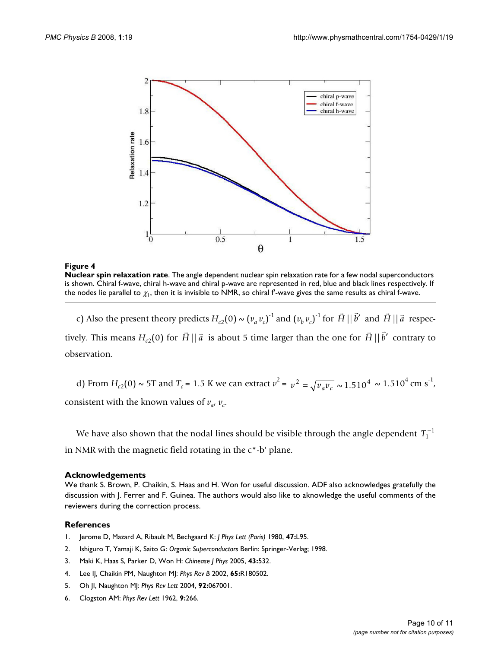

**Nuclear spin relaxation rate**. The angle dependent nuclear spin relaxation rate for a few nodal superconductors is shown. Chiral f-wave, chiral h-wave and chiral p-wave are represented in red, blue and black lines respectively. If the nodes lie parallel to  $\chi_1$ , then it is invisible to NMR, so chiral f-wave gives the same results as chiral f-wave.

c) Also the present theory predicts  $H_{c2}(0) \sim (v_a v_c)^{-1}$  and  $(v_b v_c)^{-1}$  for  $\vec{H} || \vec{b}'$  and  $\vec{H} || \vec{a}$  respectively. This means  $H_{c2}(0)$  for  $\vec{H} || \vec{a}$  is about 5 time larger than the one for  $\vec{H} || \vec{b}'$  contrary to observation.

d) From  $H_{c2}(0) \sim 5T$  and  $T_c = 1.5$  K we can extract  $v^2 = v^2 = \sqrt{v_a v_c} \sim 1.510^4 \sim 1.510^4$  cm s<sup>-1</sup>, consistent with the known values of  $v_a$ ,  $v_c$ .

We have also shown that the nodal lines should be visible through the angle dependent  $T_1^{-1}$ in NMR with the magnetic field rotating in the c\*-b' plane.

### **Acknowledgements**

We thank S. Brown, P. Chaikin, S. Haas and H. Won for useful discussion. ADF also acknowledges gratefully the discussion with J. Ferrer and F. Guinea. The authors would also like to aknowledge the useful comments of the reviewers during the correction process.

### **References**

- 1. Jerome D, Mazard A, Ribault M, Bechgaard K: *J Phys Lett (Paris)* 1980, **47:**L95.
- 2. Ishiguro T, Yamaji K, Saito G: *Organic Superconductors* Berlin: Springer-Verlag; 1998.
- 3. Maki K, Haas S, Parker D, Won H: *Chinease J Phys* 2005, **43:**532.
- 4. Lee IJ, Chaikin PM, Naughton MJ: *Phys Rev B* 2002, **65:**R180502.
- 5. Oh JI, Naughton MJ: *Phys Rev Lett* 2004, **92:**067001.
- 6. Clogston AM: *Phys Rev Lett* 1962, **9:**266.